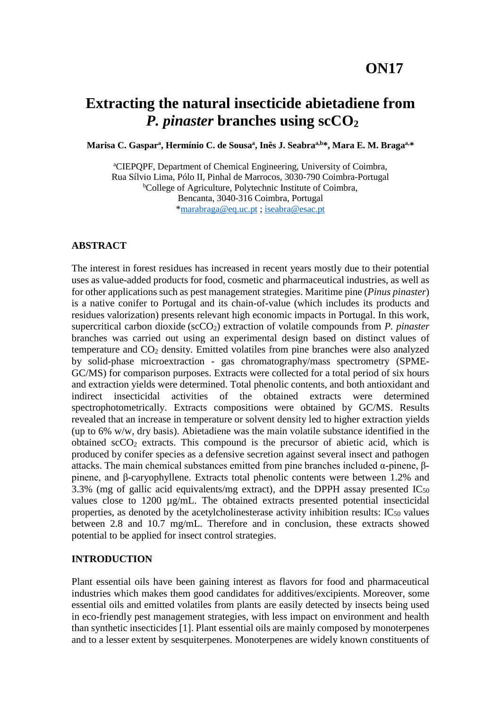# **Extracting the natural insecticide abietadiene from** *P. pinaster* **branches using scCO<sup>2</sup>**

Marisa C. Gasparª, Hermínio C. de Sousaª, Inês J. Seabraª<sup>,b</sup>\*, Mara E. M. Bragaª<sup>,</sup>\*

<sup>a</sup>CIEPQPF, Department of Chemical Engineering, University of Coimbra, Rua Sílvio Lima, Pólo II, Pinhal de Marrocos, 3030-790 Coimbra-Portugal <sup>b</sup>College of Agriculture, Polytechnic Institute of Coimbra, Bencanta, 3040-316 Coimbra, Portugal [\\*marabraga@eq.uc.pt](mailto:marabraga@eq.uc.pt) ; [iseabra@esac.pt](mailto:iseabra@esac.pt)

#### **ABSTRACT**

The interest in forest residues has increased in recent years mostly due to their potential uses as value-added products for food, cosmetic and pharmaceutical industries, as well as for other applications such as pest management strategies. Maritime pine (*Pinus pinaster*) is a native conifer to Portugal and its chain-of-value (which includes its products and residues valorization) presents relevant high economic impacts in Portugal. In this work, supercritical carbon dioxide (scCO<sub>2</sub>) extraction of volatile compounds from *P. pinaster* branches was carried out using an experimental design based on distinct values of temperature and CO<sup>2</sup> density. Emitted volatiles from pine branches were also analyzed by solid-phase microextraction - gas chromatography/mass spectrometry (SPME-GC/MS) for comparison purposes. Extracts were collected for a total period of six hours and extraction yields were determined. Total phenolic contents, and both antioxidant and indirect insecticidal activities of the obtained extracts were determined spectrophotometrically. Extracts compositions were obtained by GC/MS. Results revealed that an increase in temperature or solvent density led to higher extraction yields (up to 6% w/w, dry basis). Abietadiene was the main volatile substance identified in the obtained  $\sec O_2$  extracts. This compound is the precursor of abietic acid, which is produced by conifer species as a defensive secretion against several insect and pathogen attacks. The main chemical substances emitted from pine branches included α-pinene, βpinene, and β-caryophyllene. Extracts total phenolic contents were between 1.2% and 3.3% (mg of gallic acid equivalents/mg extract), and the DPPH assay presented  $IC_{50}$ values close to 1200 µg/mL. The obtained extracts presented potential insecticidal properties, as denoted by the acetylcholinesterase activity inhibition results:  $IC_{50}$  values between 2.8 and 10.7 mg/mL. Therefore and in conclusion, these extracts showed potential to be applied for insect control strategies.

#### **INTRODUCTION**

Plant essential oils have been gaining interest as flavors for food and pharmaceutical industries which makes them good candidates for additives/excipients. Moreover, some essential oils and emitted volatiles from plants are easily detected by insects being used in eco-friendly pest management strategies, with less impact on environment and health than synthetic insecticides [1]. Plant essential oils are mainly composed by monoterpenes and to a lesser extent by sesquiterpenes. Monoterpenes are widely known constituents of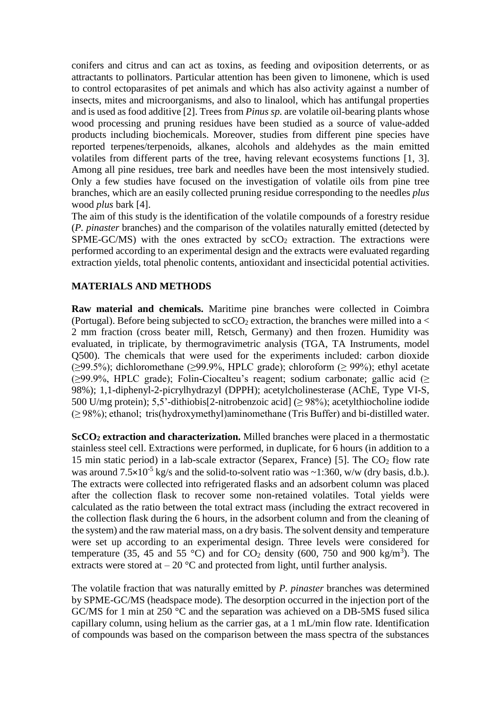conifers and citrus and can act as toxins, as feeding and oviposition deterrents, or as attractants to pollinators. Particular attention has been given to limonene, which is used to control ectoparasites of pet animals and which has also activity against a number of insects, mites and microorganisms, and also to linalool, which has antifungal properties and is used as food additive [2]. Trees from *Pinus sp.* are volatile oil-bearing plants whose wood processing and pruning residues have been studied as a source of value-added products including biochemicals. Moreover, studies from different pine species have reported terpenes/terpenoids, alkanes, alcohols and aldehydes as the main emitted volatiles from different parts of the tree, having relevant ecosystems functions [1, 3]. Among all pine residues, tree bark and needles have been the most intensively studied. Only a few studies have focused on the investigation of volatile oils from pine tree branches, which are an easily collected pruning residue corresponding to the needles *plus*  wood *plus* bark [4].

The aim of this study is the identification of the volatile compounds of a forestry residue (*P. pinaster* branches) and the comparison of the volatiles naturally emitted (detected by SPME-GC/MS) with the ones extracted by  $\sec O_2$  extraction. The extractions were performed according to an experimental design and the extracts were evaluated regarding extraction yields, total phenolic contents, antioxidant and insecticidal potential activities.

#### **MATERIALS AND METHODS**

**Raw material and chemicals.** Maritime pine branches were collected in Coimbra (Portugal). Before being subjected to scCO<sub>2</sub> extraction, the branches were milled into a  $\lt$ 2 mm fraction (cross beater mill, Retsch, Germany) and then frozen. Humidity was evaluated, in triplicate, by thermogravimetric analysis (TGA, TA Instruments, model Q500). The chemicals that were used for the experiments included: carbon dioxide ( $\geq$ 99.5%); dichloromethane ( $\geq$ 99.9%, HPLC grade); chloroform ( $\geq$  99%); ethyl acetate (≥99.9%, HPLC grade); Folin-Ciocalteu's reagent; sodium carbonate; gallic acid (≥ 98%); 1,1-diphenyl-2-picrylhydrazyl (DPPH); acetylcholinesterase (AChE, Type VI-S, 500 U/mg protein); 5,5'-dithiobis[2-nitrobenzoic acid] ( $\geq$  98%); acetylthiocholine iodide (≥ 98%); ethanol; tris(hydroxymethyl)aminomethane (Tris Buffer) and bi-distilled water.

**ScCO<sup>2</sup> extraction and characterization.** Milled branches were placed in a thermostatic stainless steel cell. Extractions were performed, in duplicate, for 6 hours (in addition to a 15 min static period) in a lab-scale extractor (Separex, France) [5]. The  $CO<sub>2</sub>$  flow rate was around  $7.5 \times 10^{-5}$  kg/s and the solid-to-solvent ratio was  $\sim 1:360$ , w/w (dry basis, d.b.). The extracts were collected into refrigerated flasks and an adsorbent column was placed after the collection flask to recover some non-retained volatiles. Total yields were calculated as the ratio between the total extract mass (including the extract recovered in the collection flask during the 6 hours, in the adsorbent column and from the cleaning of the system) and the raw material mass, on a dry basis. The solvent density and temperature were set up according to an experimental design. Three levels were considered for temperature (35, 45 and 55 °C) and for  $CO_2$  density (600, 750 and 900 kg/m<sup>3</sup>). The extracts were stored at  $-20$  °C and protected from light, until further analysis.

The volatile fraction that was naturally emitted by *P. pinaster* branches was determined by SPME-GC/MS (headspace mode). The desorption occurred in the injection port of the GC/MS for 1 min at 250 °C and the separation was achieved on a DB-5MS fused silica capillary column, using helium as the carrier gas, at a 1 mL/min flow rate. Identification of compounds was based on the comparison between the mass spectra of the substances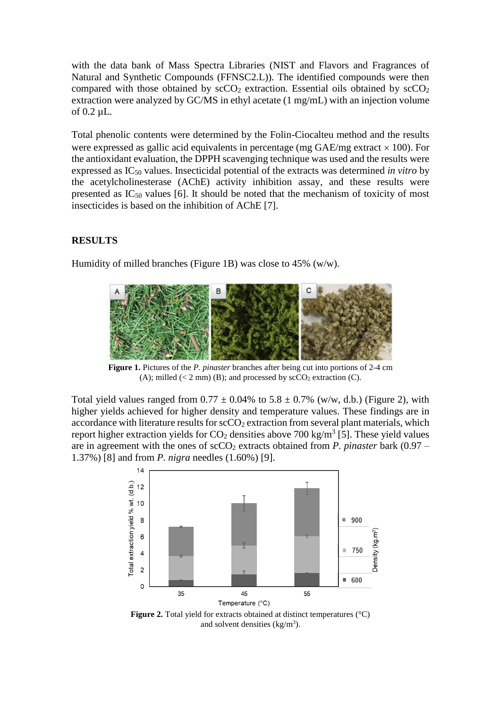with the data bank of Mass Spectra Libraries (NIST and Flavors and Fragrances of Natural and Synthetic Compounds (FFNSC2.L)). The identified compounds were then compared with those obtained by  $\sec O_2$  extraction. Essential oils obtained by  $\sec O_2$ extraction were analyzed by GC/MS in ethyl acetate (1 mg/mL) with an injection volume of 0.2 µL.

Total phenolic contents were determined by the Folin-Ciocalteu method and the results were expressed as gallic acid equivalents in percentage (mg  $GAE/mg$  extract  $\times$  100). For the antioxidant evaluation, the DPPH scavenging technique was used and the results were expressed as IC<sup>50</sup> values. Insecticidal potential of the extracts was determined *in vitro* by the acetylcholinesterase (AChE) activity inhibition assay, and these results were presented as  $IC_{50}$  values [6]. It should be noted that the mechanism of toxicity of most insecticides is based on the inhibition of AChE [7].

# **RESULTS**

Humidity of milled branches (Figure 1B) was close to 45% (w/w).



**Figure 1.** Pictures of the *P. pinaster* branches after being cut into portions of 2-4 cm (A); milled  $(< 2$  mm) (B); and processed by  $\sec O_2$  extraction (C).

Total yield values ranged from  $0.77 \pm 0.04\%$  to  $5.8 \pm 0.7\%$  (w/w, d.b.) (Figure 2), with higher yields achieved for higher density and temperature values. These findings are in accordance with literature results for  $\secO_2$  extraction from several plant materials, which report higher extraction yields for  $CO_2$  densities above 700 kg/m<sup>3</sup> [5]. These yield values are in agreement with the ones of  $\sec O_2$  extracts obtained from *P. pinaster* bark (0.97 – 1.37%) [8] and from *P. nigra* needles (1.60%) [9].



**Figure 2.** Total yield for extracts obtained at distinct temperatures (°C) and solvent densities  $(kg/m<sup>3</sup>)$ .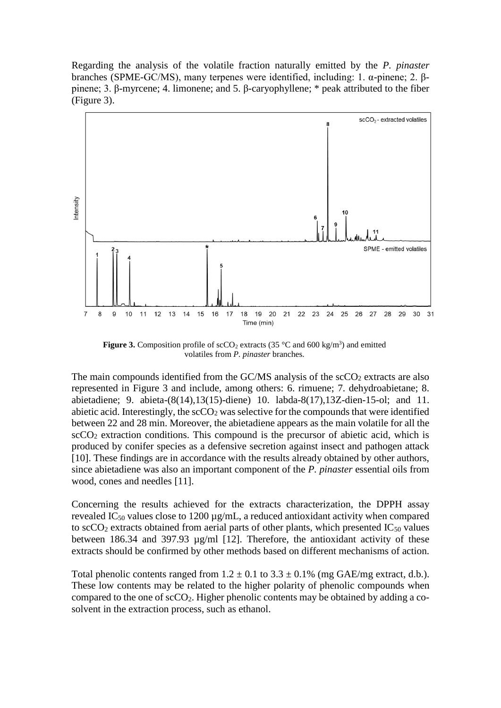Regarding the analysis of the volatile fraction naturally emitted by the *P. pinaster*  branches (SPME-GC/MS), many terpenes were identified, including: 1. α-pinene; 2. βpinene; 3. β-myrcene; 4. limonene; and 5. β-caryophyllene; \* peak attributed to the fiber (Figure 3).



**Figure 3.** Composition profile of  $\sec O_2$  extracts (35 °C and 600 kg/m<sup>3</sup>) and emitted volatiles from *P. pinaster* branches.

The main compounds identified from the  $GC/MS$  analysis of the  $\rm scCO_2$  extracts are also represented in Figure 3 and include, among others: 6. rimuene; 7. dehydroabietane; 8. abietadiene; 9. abieta-(8(14),13(15)-diene) 10. labda-8(17),13Z-dien-15-ol; and 11. abietic acid. Interestingly, the  $\sec O_2$  was selective for the compounds that were identified between 22 and 28 min. Moreover, the abietadiene appears as the main volatile for all the  $\sec{CO_2}$  extraction conditions. This compound is the precursor of abietic acid, which is produced by conifer species as a defensive secretion against insect and pathogen attack [10]. These findings are in accordance with the results already obtained by other authors, since abietadiene was also an important component of the *P. pinaster* essential oils from wood, cones and needles [11].

Concerning the results achieved for the extracts characterization, the DPPH assay revealed IC<sub>50</sub> values close to 1200  $\mu$ g/mL, a reduced antioxidant activity when compared to scCO<sub>2</sub> extracts obtained from aerial parts of other plants, which presented  $IC_{50}$  values between 186.34 and 397.93  $\mu$ g/ml [12]. Therefore, the antioxidant activity of these extracts should be confirmed by other methods based on different mechanisms of action.

Total phenolic contents ranged from  $1.2 \pm 0.1$  to  $3.3 \pm 0.1$ % (mg GAE/mg extract, d.b.). These low contents may be related to the higher polarity of phenolic compounds when compared to the one of scCO2. Higher phenolic contents may be obtained by adding a cosolvent in the extraction process, such as ethanol.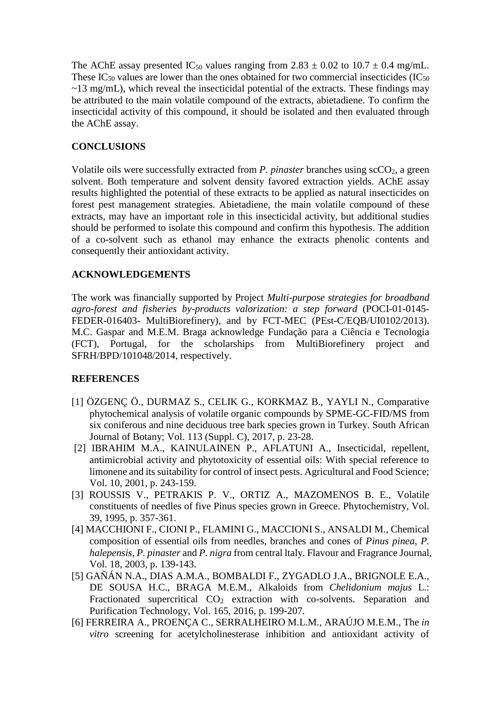The AChE assay presented IC<sub>50</sub> values ranging from 2.83  $\pm$  0.02 to 10.7  $\pm$  0.4 mg/mL. These  $IC_{50}$  values are lower than the ones obtained for two commercial insecticides ( $IC_{50}$ )  $\sim$ 13 mg/mL), which reveal the insecticidal potential of the extracts. These findings may be attributed to the main volatile compound of the extracts, abietadiene. To confirm the insecticidal activity of this compound, it should be isolated and then evaluated through the AChE assay.

# **CONCLUSIONS**

Volatile oils were successfully extracted from *P. pinaster* branches using scCO2, a green solvent. Both temperature and solvent density favored extraction yields. AChE assay results highlighted the potential of these extracts to be applied as natural insecticides on forest pest management strategies. Abietadiene, the main volatile compound of these extracts, may have an important role in this insecticidal activity, but additional studies should be performed to isolate this compound and confirm this hypothesis. The addition of a co-solvent such as ethanol may enhance the extracts phenolic contents and consequently their antioxidant activity.

### **ACKNOWLEDGEMENTS**

The work was financially supported by Project *Multi-purpose strategies for broadband agro-forest and fisheries by-products valorization: a step forward* (POCI-01-0145- FEDER-016403- MultiBiorefinery), and by FCT-MEC (PEst-C/EOB/UI0102/2013). M.C. Gaspar and M.E.M. Braga acknowledge Fundação para a Ciência e Tecnologia (FCT), Portugal, for the scholarships from MultiBiorefinery project and SFRH/BPD/101048/2014, respectively.

### **REFERENCES**

- [1] ÖZGENÇ Ö., DURMAZ S., CELIK G., KORKMAZ B., YAYLI N., Comparative phytochemical analysis of volatile organic compounds by SPME-GC-FID/MS from six coniferous and nine deciduous tree bark species grown in Turkey. South African Journal of Botany; Vol. 113 (Suppl. C), 2017, p. 23-28.
- [2] IBRAHIM M.A., KAINULAINEN P., AFLATUNI A., Insecticidal, repellent, antimicrobial activity and phytotoxicity of essential oils: With special reference to limonene and its suitability for control of insect pests. Agricultural and Food Science; Vol. 10, 2001, p. 243-159.
- [3] ROUSSIS V., PETRAKIS P. V., ORTIZ A., MAZOMENOS B. E., Volatile constituents of needles of five Pinus species grown in Greece. Phytochemistry, Vol. 39, 1995, p. 357-361.
- [4] MACCHIONI F., CIONI P., FLAMINI G., MACCIONI S., ANSALDI M., Chemical composition of essential oils from needles, branches and cones of *Pinus pinea*, *P. halepensis*, *P. pinaster* and *P. nigra* from central ltaly. Flavour and Fragrance Journal, Vol. 18, 2003, p. 139-143.
- [5] GAÑÁN N.A., DIAS A.M.A., BOMBALDI F., ZYGADLO J.A., BRIGNOLE E.A., DE SOUSA H.C., BRAGA M.E.M., Alkaloids from *Chelidonium majus* L.: Fractionated supercritical CO<sub>2</sub> extraction with co-solvents. Separation and Purification Technology, Vol. 165, 2016, p. 199-207.
- [6] FERREIRA A., PROENÇA C., SERRALHEIRO M.L.M., ARAÚJO M.E.M., The *in vitro* screening for acetylcholinesterase inhibition and antioxidant activity of